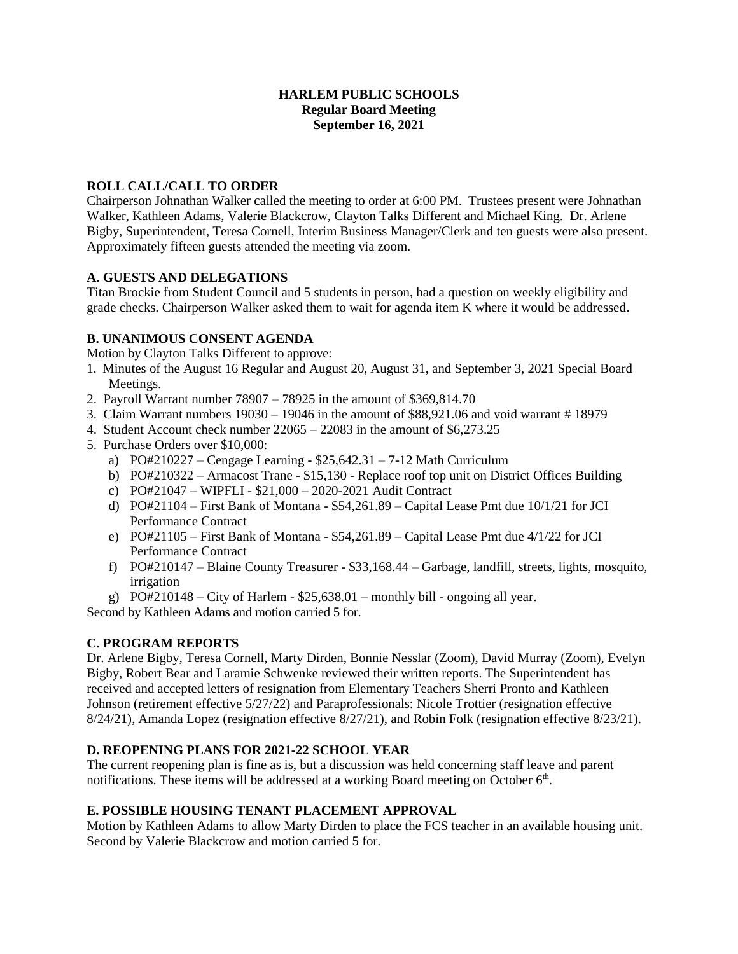#### **HARLEM PUBLIC SCHOOLS Regular Board Meeting September 16, 2021**

### **ROLL CALL/CALL TO ORDER**

Chairperson Johnathan Walker called the meeting to order at 6:00 PM. Trustees present were Johnathan Walker, Kathleen Adams, Valerie Blackcrow, Clayton Talks Different and Michael King. Dr. Arlene Bigby, Superintendent, Teresa Cornell, Interim Business Manager/Clerk and ten guests were also present. Approximately fifteen guests attended the meeting via zoom.

#### **A. GUESTS AND DELEGATIONS**

Titan Brockie from Student Council and 5 students in person, had a question on weekly eligibility and grade checks. Chairperson Walker asked them to wait for agenda item K where it would be addressed.

## **B. UNANIMOUS CONSENT AGENDA**

Motion by Clayton Talks Different to approve:

- 1. Minutes of the August 16 Regular and August 20, August 31, and September 3, 2021 Special Board Meetings.
- 2. Payroll Warrant number 78907 78925 in the amount of \$369,814.70
- 3. Claim Warrant numbers 19030 19046 in the amount of \$88,921.06 and void warrant # 18979
- 4. Student Account check number 22065 22083 in the amount of \$6,273.25
- 5. Purchase Orders over \$10,000:
	- a) PO#210227 Cengage Learning  $$25,642.31 7-12$  Math Curriculum
	- b) PO#210322 Armacost Trane \$15,130 Replace roof top unit on District Offices Building
	- c) PO#21047 WIPFLI \$21,000 2020-2021 Audit Contract
	- d) PO#21104 First Bank of Montana \$54,261.89 Capital Lease Pmt due 10/1/21 for JCI Performance Contract
	- e) PO#21105 First Bank of Montana \$54,261.89 Capital Lease Pmt due 4/1/22 for JCI Performance Contract
	- f) PO#210147 Blaine County Treasurer \$33,168.44 Garbage, landfill, streets, lights, mosquito, irrigation
	- g)  $PO#210148 City of Harlem $25,638.01 monthly bill ongoing all year.$

Second by Kathleen Adams and motion carried 5 for.

# **C. PROGRAM REPORTS**

Dr. Arlene Bigby, Teresa Cornell, Marty Dirden, Bonnie Nesslar (Zoom), David Murray (Zoom), Evelyn Bigby, Robert Bear and Laramie Schwenke reviewed their written reports. The Superintendent has received and accepted letters of resignation from Elementary Teachers Sherri Pronto and Kathleen Johnson (retirement effective 5/27/22) and Paraprofessionals: Nicole Trottier (resignation effective 8/24/21), Amanda Lopez (resignation effective 8/27/21), and Robin Folk (resignation effective 8/23/21).

#### **D. REOPENING PLANS FOR 2021-22 SCHOOL YEAR**

The current reopening plan is fine as is, but a discussion was held concerning staff leave and parent notifications. These items will be addressed at a working Board meeting on October  $6<sup>th</sup>$ .

#### **E. POSSIBLE HOUSING TENANT PLACEMENT APPROVAL**

Motion by Kathleen Adams to allow Marty Dirden to place the FCS teacher in an available housing unit. Second by Valerie Blackcrow and motion carried 5 for.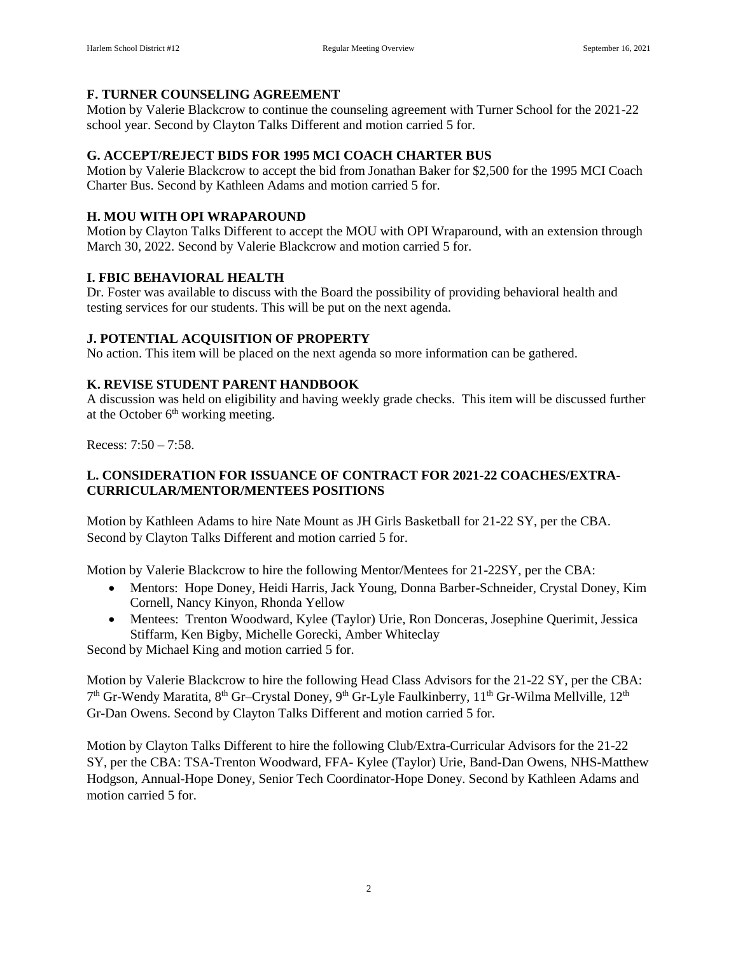#### **F. TURNER COUNSELING AGREEMENT**

Motion by Valerie Blackcrow to continue the counseling agreement with Turner School for the 2021-22 school year. Second by Clayton Talks Different and motion carried 5 for.

### **G. ACCEPT/REJECT BIDS FOR 1995 MCI COACH CHARTER BUS**

Motion by Valerie Blackcrow to accept the bid from Jonathan Baker for \$2,500 for the 1995 MCI Coach Charter Bus. Second by Kathleen Adams and motion carried 5 for.

#### **H. MOU WITH OPI WRAPAROUND**

Motion by Clayton Talks Different to accept the MOU with OPI Wraparound, with an extension through March 30, 2022. Second by Valerie Blackcrow and motion carried 5 for.

## **I. FBIC BEHAVIORAL HEALTH**

Dr. Foster was available to discuss with the Board the possibility of providing behavioral health and testing services for our students. This will be put on the next agenda.

## **J. POTENTIAL ACQUISITION OF PROPERTY**

No action. This item will be placed on the next agenda so more information can be gathered.

## **K. REVISE STUDENT PARENT HANDBOOK**

A discussion was held on eligibility and having weekly grade checks. This item will be discussed further at the October  $6<sup>th</sup>$  working meeting.

Recess: 7:50 – 7:58.

## **L. CONSIDERATION FOR ISSUANCE OF CONTRACT FOR 2021-22 COACHES/EXTRA-CURRICULAR/MENTOR/MENTEES POSITIONS**

Motion by Kathleen Adams to hire Nate Mount as JH Girls Basketball for 21-22 SY, per the CBA. Second by Clayton Talks Different and motion carried 5 for.

Motion by Valerie Blackcrow to hire the following Mentor/Mentees for 21-22SY, per the CBA:

- Mentors: Hope Doney, Heidi Harris, Jack Young, Donna Barber-Schneider, Crystal Doney, Kim Cornell, Nancy Kinyon, Rhonda Yellow
- Mentees: Trenton Woodward, Kylee (Taylor) Urie, Ron Donceras, Josephine Querimit, Jessica Stiffarm, Ken Bigby, Michelle Gorecki, Amber Whiteclay

Second by Michael King and motion carried 5 for.

Motion by Valerie Blackcrow to hire the following Head Class Advisors for the 21-22 SY, per the CBA: 7<sup>th</sup> Gr-Wendy Maratita, 8<sup>th</sup> Gr–Crystal Doney, 9<sup>th</sup> Gr-Lyle Faulkinberry, 11<sup>th</sup> Gr-Wilma Mellville, 12<sup>th</sup> Gr-Dan Owens. Second by Clayton Talks Different and motion carried 5 for.

Motion by Clayton Talks Different to hire the following Club/Extra-Curricular Advisors for the 21-22 SY, per the CBA: TSA-Trenton Woodward, FFA- Kylee (Taylor) Urie, Band-Dan Owens, NHS-Matthew Hodgson, Annual-Hope Doney, Senior Tech Coordinator-Hope Doney. Second by Kathleen Adams and motion carried 5 for.